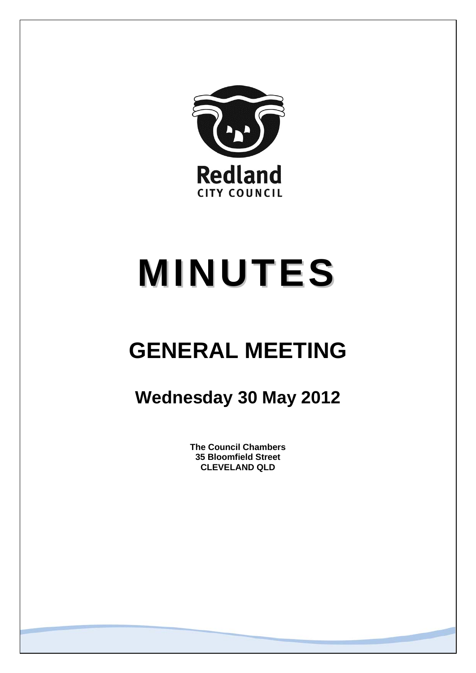

# **MINUTES**

## **GENERAL MEETING**

### **Wednesday 30 May 2012**

**The Council Chambers 35 Bloomfield Street CLEVELAND QLD**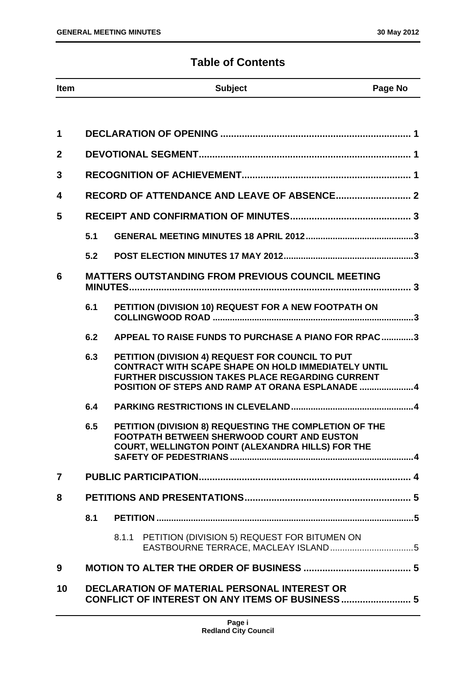#### **Table of Contents**

| Item | <b>Subject</b> | <b>Page No</b> |
|------|----------------|----------------|

| 1              |     |       |                                                                                                                                                                                                                               |
|----------------|-----|-------|-------------------------------------------------------------------------------------------------------------------------------------------------------------------------------------------------------------------------------|
| $\overline{2}$ |     |       |                                                                                                                                                                                                                               |
| 3              |     |       |                                                                                                                                                                                                                               |
| 4              |     |       |                                                                                                                                                                                                                               |
| 5              |     |       |                                                                                                                                                                                                                               |
|                | 5.1 |       |                                                                                                                                                                                                                               |
|                | 5.2 |       |                                                                                                                                                                                                                               |
| 6              |     |       | <b>MATTERS OUTSTANDING FROM PREVIOUS COUNCIL MEETING</b>                                                                                                                                                                      |
|                | 6.1 |       | PETITION (DIVISION 10) REQUEST FOR A NEW FOOTPATH ON                                                                                                                                                                          |
|                | 6.2 |       | APPEAL TO RAISE FUNDS TO PURCHASE A PIANO FOR RPAC3                                                                                                                                                                           |
|                | 6.3 |       | PETITION (DIVISION 4) REQUEST FOR COUNCIL TO PUT<br><b>CONTRACT WITH SCAPE SHAPE ON HOLD IMMEDIATELY UNTIL</b><br><b>FURTHER DISCUSSION TAKES PLACE REGARDING CURRENT</b><br>POSITION OF STEPS AND RAMP AT ORANA ESPLANADE  4 |
|                | 6.4 |       |                                                                                                                                                                                                                               |
|                | 6.5 |       | PETITION (DIVISION 8) REQUESTING THE COMPLETION OF THE<br><b>FOOTPATH BETWEEN SHERWOOD COURT AND EUSTON</b><br>COURT, WELLINGTON POINT (ALEXANDRA HILLS) FOR THE                                                              |
| $\overline{7}$ |     |       |                                                                                                                                                                                                                               |
| 8              |     |       |                                                                                                                                                                                                                               |
|                | 8.1 |       |                                                                                                                                                                                                                               |
|                |     | 8.1.1 | PETITION (DIVISION 5) REQUEST FOR BITUMEN ON                                                                                                                                                                                  |
| 9              |     |       |                                                                                                                                                                                                                               |
| 10             |     |       | <b>DECLARATION OF MATERIAL PERSONAL INTEREST OR</b><br><b>CONFLICT OF INTEREST ON ANY ITEMS OF BUSINESS 5</b>                                                                                                                 |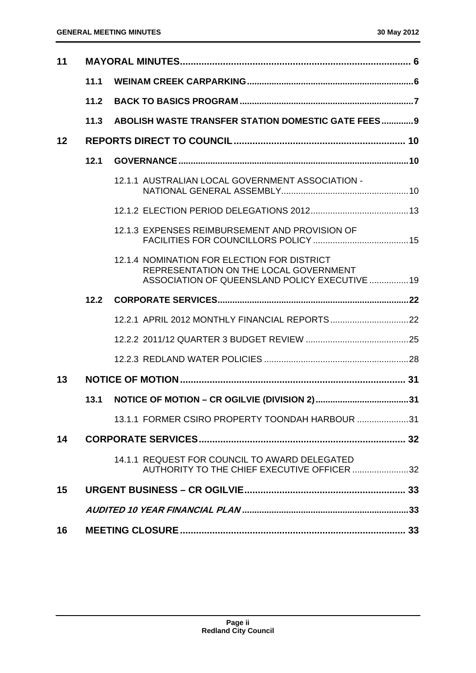| 11 |      |                                                                                                                                         |  |
|----|------|-----------------------------------------------------------------------------------------------------------------------------------------|--|
|    | 11.1 |                                                                                                                                         |  |
|    | 11.2 |                                                                                                                                         |  |
|    | 11.3 | ABOLISH WASTE TRANSFER STATION DOMESTIC GATE FEES 9                                                                                     |  |
| 12 |      |                                                                                                                                         |  |
|    | 12.1 |                                                                                                                                         |  |
|    |      | 12.1.1 AUSTRALIAN LOCAL GOVERNMENT ASSOCIATION -                                                                                        |  |
|    |      |                                                                                                                                         |  |
|    |      | 12.1.3 EXPENSES REIMBURSEMENT AND PROVISION OF                                                                                          |  |
|    |      | 12.1.4 NOMINATION FOR ELECTION FOR DISTRICT<br>REPRESENTATION ON THE LOCAL GOVERNMENT<br>ASSOCIATION OF QUEENSLAND POLICY EXECUTIVE  19 |  |
|    |      |                                                                                                                                         |  |
|    |      |                                                                                                                                         |  |
|    |      |                                                                                                                                         |  |
|    |      |                                                                                                                                         |  |
| 13 |      |                                                                                                                                         |  |
|    | 13.1 |                                                                                                                                         |  |
|    |      | 13.1.1 FORMER CSIRO PROPERTY TOONDAH HARBOUR 31                                                                                         |  |
| 14 |      |                                                                                                                                         |  |
|    |      | 14.1.1 REQUEST FOR COUNCIL TO AWARD DELEGATED<br>AUTHORITY TO THE CHIEF EXECUTIVE OFFICER 32                                            |  |
| 15 |      |                                                                                                                                         |  |
|    |      |                                                                                                                                         |  |
| 16 |      |                                                                                                                                         |  |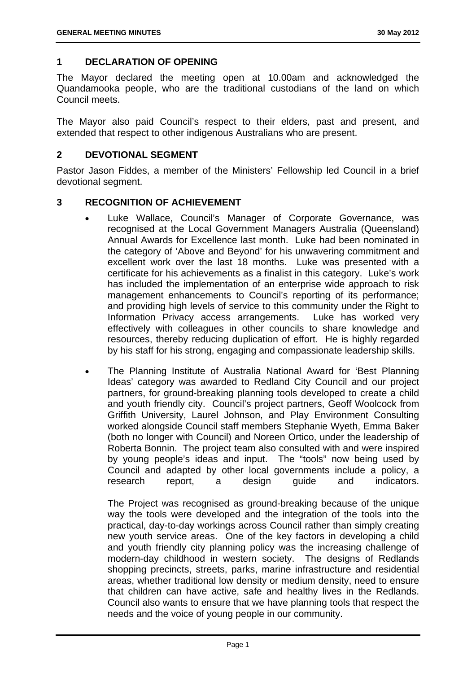#### **1 DECLARATION OF OPENING**

The Mayor declared the meeting open at 10.00am and acknowledged the Quandamooka people, who are the traditional custodians of the land on which Council meets.

The Mayor also paid Council's respect to their elders, past and present, and extended that respect to other indigenous Australians who are present.

#### **2 DEVOTIONAL SEGMENT**

Pastor Jason Fiddes, a member of the Ministers' Fellowship led Council in a brief devotional segment.

#### **3 RECOGNITION OF ACHIEVEMENT**

- Luke Wallace, Council's Manager of Corporate Governance, was recognised at the Local Government Managers Australia (Queensland) Annual Awards for Excellence last month. Luke had been nominated in the category of 'Above and Beyond' for his unwavering commitment and excellent work over the last 18 months. Luke was presented with a certificate for his achievements as a finalist in this category. Luke's work has included the implementation of an enterprise wide approach to risk management enhancements to Council's reporting of its performance; and providing high levels of service to this community under the Right to Information Privacy access arrangements. Luke has worked very effectively with colleagues in other councils to share knowledge and resources, thereby reducing duplication of effort. He is highly regarded by his staff for his strong, engaging and compassionate leadership skills.
- The Planning Institute of Australia National Award for 'Best Planning Ideas' category was awarded to Redland City Council and our project partners, for ground-breaking planning tools developed to create a child and youth friendly city. Council's project partners, Geoff Woolcock from Griffith University, Laurel Johnson, and Play Environment Consulting worked alongside Council staff members Stephanie Wyeth, Emma Baker (both no longer with Council) and Noreen Ortico, under the leadership of Roberta Bonnin. The project team also consulted with and were inspired by young people's ideas and input. The "tools" now being used by Council and adapted by other local governments include a policy, a research report, a design guide and indicators.

The Project was recognised as ground-breaking because of the unique way the tools were developed and the integration of the tools into the practical, day-to-day workings across Council rather than simply creating new youth service areas. One of the key factors in developing a child and youth friendly city planning policy was the increasing challenge of modern-day childhood in western society. The designs of Redlands shopping precincts, streets, parks, marine infrastructure and residential areas, whether traditional low density or medium density, need to ensure that children can have active, safe and healthy lives in the Redlands. Council also wants to ensure that we have planning tools that respect the needs and the voice of young people in our community.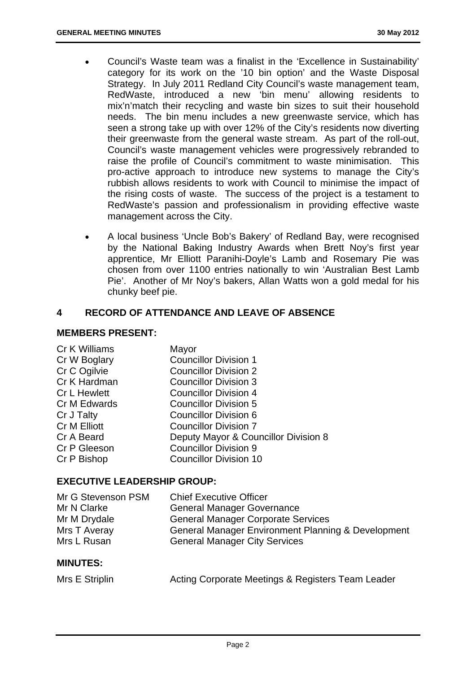- Council's Waste team was a finalist in the 'Excellence in Sustainability' category for its work on the '10 bin option' and the Waste Disposal Strategy. In July 2011 Redland City Council's waste management team, RedWaste, introduced a new 'bin menu' allowing residents to mix'n'match their recycling and waste bin sizes to suit their household needs. The bin menu includes a new greenwaste service, which has seen a strong take up with over 12% of the City's residents now diverting their greenwaste from the general waste stream. As part of the roll-out, Council's waste management vehicles were progressively rebranded to raise the profile of Council's commitment to waste minimisation. This pro-active approach to introduce new systems to manage the City's rubbish allows residents to work with Council to minimise the impact of the rising costs of waste. The success of the project is a testament to RedWaste's passion and professionalism in providing effective waste management across the City.
- A local business 'Uncle Bob's Bakery' of Redland Bay, were recognised by the National Baking Industry Awards when Brett Noy's first year apprentice, Mr Elliott Paranihi-Doyle's Lamb and Rosemary Pie was chosen from over 1100 entries nationally to win 'Australian Best Lamb Pie'. Another of Mr Noy's bakers, Allan Watts won a gold medal for his chunky beef pie.

#### **4 RECORD OF ATTENDANCE AND LEAVE OF ABSENCE**

#### **MEMBERS PRESENT:**

| Cr K Williams | Mayor                                |
|---------------|--------------------------------------|
| Cr W Boglary  | <b>Councillor Division 1</b>         |
| Cr C Ogilvie  | <b>Councillor Division 2</b>         |
| Cr K Hardman  | <b>Councillor Division 3</b>         |
| Cr L Hewlett  | <b>Councillor Division 4</b>         |
| Cr M Edwards  | <b>Councillor Division 5</b>         |
| Cr J Talty    | <b>Councillor Division 6</b>         |
| Cr M Elliott  | <b>Councillor Division 7</b>         |
| Cr A Beard    | Deputy Mayor & Councillor Division 8 |
| Cr P Gleeson  | <b>Councillor Division 9</b>         |
| Cr P Bishop   | <b>Councillor Division 10</b>        |

#### **EXECUTIVE LEADERSHIP GROUP:**

| Mr G Stevenson PSM | <b>Chief Executive Officer</b>                                |
|--------------------|---------------------------------------------------------------|
| Mr N Clarke        | <b>General Manager Governance</b>                             |
| Mr M Drydale       | <b>General Manager Corporate Services</b>                     |
| Mrs T Averay       | <b>General Manager Environment Planning &amp; Development</b> |
| Mrs L Rusan        | <b>General Manager City Services</b>                          |
|                    |                                                               |

#### **MINUTES:**

| Mrs E Striplin |  | Acting Corporate Meetings & Registers Team Leader |  |
|----------------|--|---------------------------------------------------|--|
|----------------|--|---------------------------------------------------|--|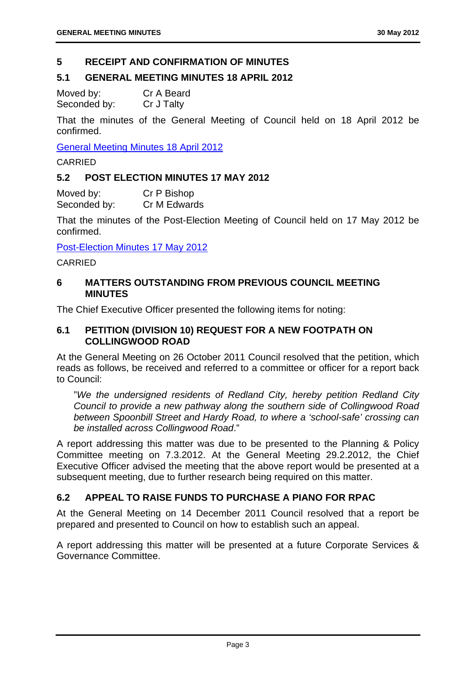#### **5 RECEIPT AND CONFIRMATION OF MINUTES**

#### **5.1 GENERAL MEETING MINUTES 18 APRIL 2012**

Moved by: Cr A Beard Seconded by: Cr J Talty

That the minutes of the General Meeting of Council held on 18 April 2012 be confirmed.

General Meeting Minutes 18 April 2012

CARRIED

#### **5.2 POST ELECTION MINUTES 17 MAY 2012**

Moved by: Cr P Bishop Seconded by: Cr M Edwards

That the minutes of the Post-Election Meeting of Council held on 17 May 2012 be confirmed.

Post-Election Minutes 17 May 2012

CARRIED

#### **6 MATTERS OUTSTANDING FROM PREVIOUS COUNCIL MEETING MINUTES**

The Chief Executive Officer presented the following items for noting:

#### **6.1 PETITION (DIVISION 10) REQUEST FOR A NEW FOOTPATH ON COLLINGWOOD ROAD**

At the General Meeting on 26 October 2011 Council resolved that the petition, which reads as follows, be received and referred to a committee or officer for a report back to Council:

"*We the undersigned residents of Redland City, hereby petition Redland City Council to provide a new pathway along the southern side of Collingwood Road between Spoonbill Street and Hardy Road, to where a 'school-safe' crossing can be installed across Collingwood Road*."

A report addressing this matter was due to be presented to the Planning & Policy Committee meeting on 7.3.2012. At the General Meeting 29.2.2012, the Chief Executive Officer advised the meeting that the above report would be presented at a subsequent meeting, due to further research being required on this matter.

#### **6.2 APPEAL TO RAISE FUNDS TO PURCHASE A PIANO FOR RPAC**

At the General Meeting on 14 December 2011 Council resolved that a report be prepared and presented to Council on how to establish such an appeal.

A report addressing this matter will be presented at a future Corporate Services & Governance Committee.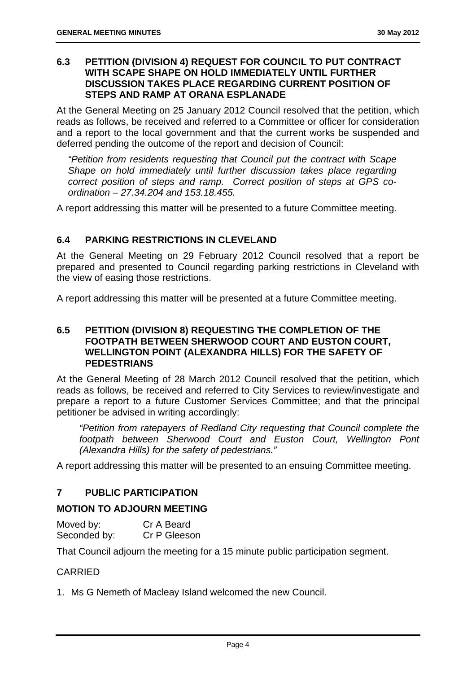#### **6.3 PETITION (DIVISION 4) REQUEST FOR COUNCIL TO PUT CONTRACT WITH SCAPE SHAPE ON HOLD IMMEDIATELY UNTIL FURTHER DISCUSSION TAKES PLACE REGARDING CURRENT POSITION OF STEPS AND RAMP AT ORANA ESPLANADE**

At the General Meeting on 25 January 2012 Council resolved that the petition, which reads as follows, be received and referred to a Committee or officer for consideration and a report to the local government and that the current works be suspended and deferred pending the outcome of the report and decision of Council:

*"Petition from residents requesting that Council put the contract with Scape Shape on hold immediately until further discussion takes place regarding correct position of steps and ramp. Correct position of steps at GPS coordination – 27.34.204 and 153.18.455.* 

A report addressing this matter will be presented to a future Committee meeting.

#### **6.4 PARKING RESTRICTIONS IN CLEVELAND**

At the General Meeting on 29 February 2012 Council resolved that a report be prepared and presented to Council regarding parking restrictions in Cleveland with the view of easing those restrictions.

A report addressing this matter will be presented at a future Committee meeting.

#### **6.5 PETITION (DIVISION 8) REQUESTING THE COMPLETION OF THE FOOTPATH BETWEEN SHERWOOD COURT AND EUSTON COURT, WELLINGTON POINT (ALEXANDRA HILLS) FOR THE SAFETY OF PEDESTRIANS**

At the General Meeting of 28 March 2012 Council resolved that the petition, which reads as follows, be received and referred to City Services to review/investigate and prepare a report to a future Customer Services Committee; and that the principal petitioner be advised in writing accordingly:

*"Petition from ratepayers of Redland City requesting that Council complete the footpath between Sherwood Court and Euston Court, Wellington Pont (Alexandra Hills) for the safety of pedestrians."* 

A report addressing this matter will be presented to an ensuing Committee meeting.

#### **7 PUBLIC PARTICIPATION**

#### **MOTION TO ADJOURN MEETING**

| Moved by:    | Cr A Beard   |
|--------------|--------------|
| Seconded by: | Cr P Gleeson |

That Council adjourn the meeting for a 15 minute public participation segment.

#### CARRIED

1. Ms G Nemeth of Macleay Island welcomed the new Council.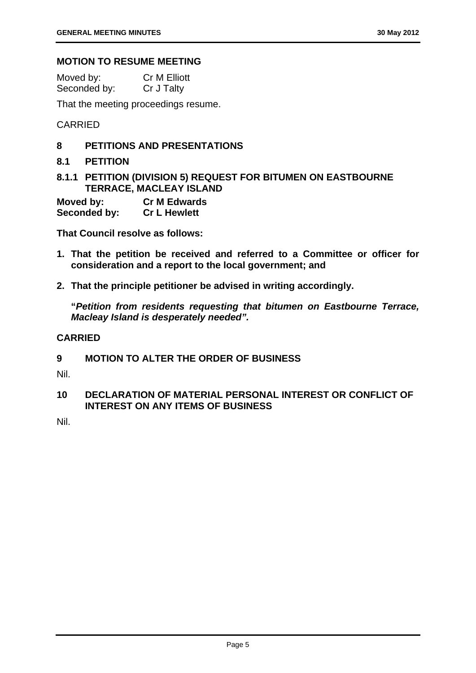#### **MOTION TO RESUME MEETING**

| Moved by:    | <b>Cr M Elliott</b> |
|--------------|---------------------|
| Seconded by: | Cr J Talty          |

That the meeting proceedings resume.

CARRIED

- **8 PETITIONS AND PRESENTATIONS**
- **8.1 PETITION**
- **8.1.1 PETITION (DIVISION 5) REQUEST FOR BITUMEN ON EASTBOURNE TERRACE, MACLEAY ISLAND**

| Moved by:    | <b>Cr M Edwards</b> |
|--------------|---------------------|
| Seconded by: | <b>Cr L Hewlett</b> |

**That Council resolve as follows:** 

- **1. That the petition be received and referred to a Committee or officer for consideration and a report to the local government; and**
- **2. That the principle petitioner be advised in writing accordingly.**

**"***Petition from residents requesting that bitumen on Eastbourne Terrace, Macleay Island is desperately needed".* 

#### **CARRIED**

#### **9 MOTION TO ALTER THE ORDER OF BUSINESS**

Nil.

#### **10 DECLARATION OF MATERIAL PERSONAL INTEREST OR CONFLICT OF INTEREST ON ANY ITEMS OF BUSINESS**

Nil.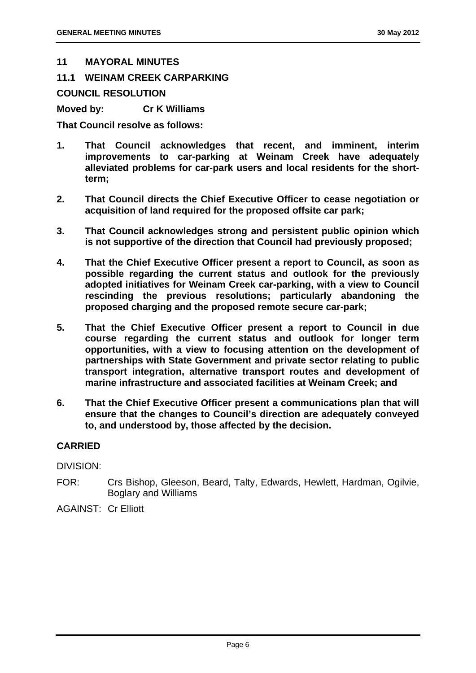#### **11 MAYORAL MINUTES**

**11.1 WEINAM CREEK CARPARKING** 

**COUNCIL RESOLUTION** 

**Moved by: Cr K Williams** 

**That Council resolve as follows:** 

- **1. That Council acknowledges that recent, and imminent, interim improvements to car-parking at Weinam Creek have adequately alleviated problems for car-park users and local residents for the shortterm;**
- **2. That Council directs the Chief Executive Officer to cease negotiation or acquisition of land required for the proposed offsite car park;**
- **3. That Council acknowledges strong and persistent public opinion which is not supportive of the direction that Council had previously proposed;**
- **4. That the Chief Executive Officer present a report to Council, as soon as possible regarding the current status and outlook for the previously adopted initiatives for Weinam Creek car-parking, with a view to Council rescinding the previous resolutions; particularly abandoning the proposed charging and the proposed remote secure car-park;**
- **5. That the Chief Executive Officer present a report to Council in due course regarding the current status and outlook for longer term opportunities, with a view to focusing attention on the development of partnerships with State Government and private sector relating to public transport integration, alternative transport routes and development of marine infrastructure and associated facilities at Weinam Creek; and**
- **6. That the Chief Executive Officer present a communications plan that will ensure that the changes to Council's direction are adequately conveyed to, and understood by, those affected by the decision.**

#### **CARRIED**

DIVISION:

FOR: Crs Bishop, Gleeson, Beard, Talty, Edwards, Hewlett, Hardman, Ogilvie, Boglary and Williams

AGAINST: Cr Elliott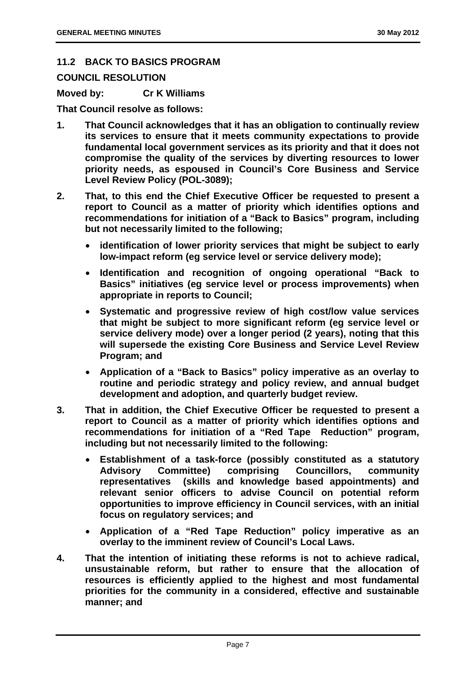#### **11.2 BACK TO BASICS PROGRAM**

**COUNCIL RESOLUTION** 

**Moved by: Cr K Williams** 

#### **That Council resolve as follows:**

- **1. That Council acknowledges that it has an obligation to continually review its services to ensure that it meets community expectations to provide fundamental local government services as its priority and that it does not compromise the quality of the services by diverting resources to lower priority needs, as espoused in Council's Core Business and Service Level Review Policy (POL-3089);**
- **2. That, to this end the Chief Executive Officer be requested to present a report to Council as a matter of priority which identifies options and recommendations for initiation of a "Back to Basics" program, including but not necessarily limited to the following;** 
	- **identification of lower priority services that might be subject to early low-impact reform (eg service level or service delivery mode);**
	- **Identification and recognition of ongoing operational "Back to Basics" initiatives (eg service level or process improvements) when appropriate in reports to Council;**
	- **Systematic and progressive review of high cost/low value services that might be subject to more significant reform (eg service level or service delivery mode) over a longer period (2 years), noting that this will supersede the existing Core Business and Service Level Review Program; and**
	- **Application of a "Back to Basics" policy imperative as an overlay to routine and periodic strategy and policy review, and annual budget development and adoption, and quarterly budget review.**
- **3. That in addition, the Chief Executive Officer be requested to present a report to Council as a matter of priority which identifies options and recommendations for initiation of a "Red Tape Reduction" program, including but not necessarily limited to the following:** 
	- **Establishment of a task-force (possibly constituted as a statutory Advisory Committee) comprising Councillors, community representatives (skills and knowledge based appointments) and relevant senior officers to advise Council on potential reform opportunities to improve efficiency in Council services, with an initial focus on regulatory services; and**
	- **Application of a "Red Tape Reduction" policy imperative as an overlay to the imminent review of Council's Local Laws.**
- **4. That the intention of initiating these reforms is not to achieve radical, unsustainable reform, but rather to ensure that the allocation of resources is efficiently applied to the highest and most fundamental priorities for the community in a considered, effective and sustainable manner; and**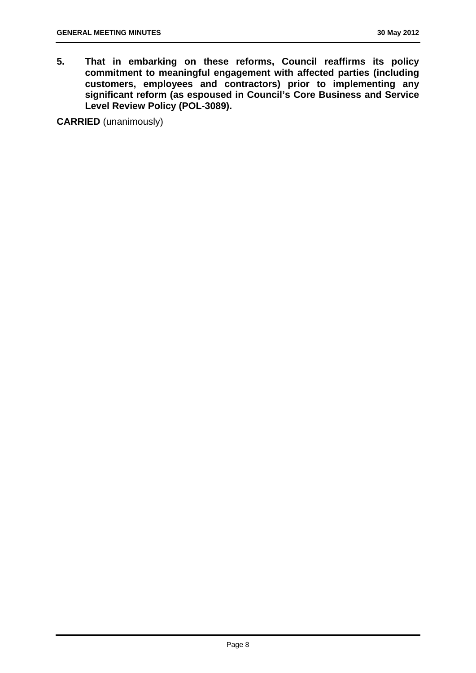**5. That in embarking on these reforms, Council reaffirms its policy commitment to meaningful engagement with affected parties (including customers, employees and contractors) prior to implementing any significant reform (as espoused in Council's Core Business and Service Level Review Policy (POL-3089).** 

**CARRIED** (unanimously)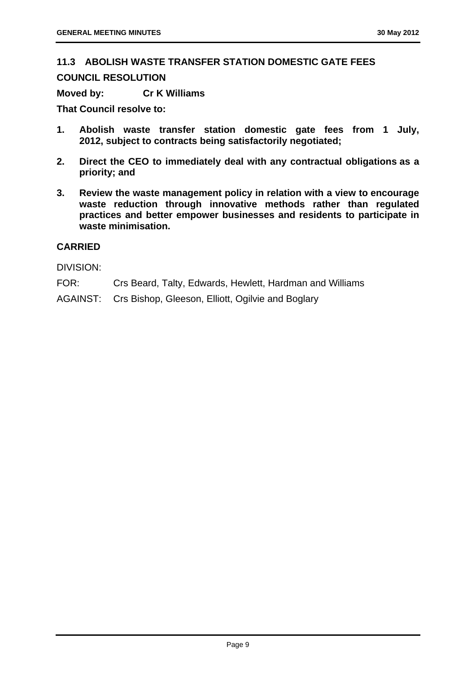#### **11.3 ABOLISH WASTE TRANSFER STATION DOMESTIC GATE FEES COUNCIL RESOLUTION**

**Moved by: Cr K Williams** 

**That Council resolve to:** 

- **1. Abolish waste transfer station domestic gate fees from 1 July, 2012, subject to contracts being satisfactorily negotiated;**
- **2. Direct the CEO to immediately deal with any contractual obligations as a priority; and**
- **3. Review the waste management policy in relation with a view to encourage waste reduction through innovative methods rather than regulated practices and better empower businesses and residents to participate in waste minimisation.**

#### **CARRIED**

DIVISION:

- FOR: Crs Beard, Talty, Edwards, Hewlett, Hardman and Williams
- AGAINST: Crs Bishop, Gleeson, Elliott, Ogilvie and Boglary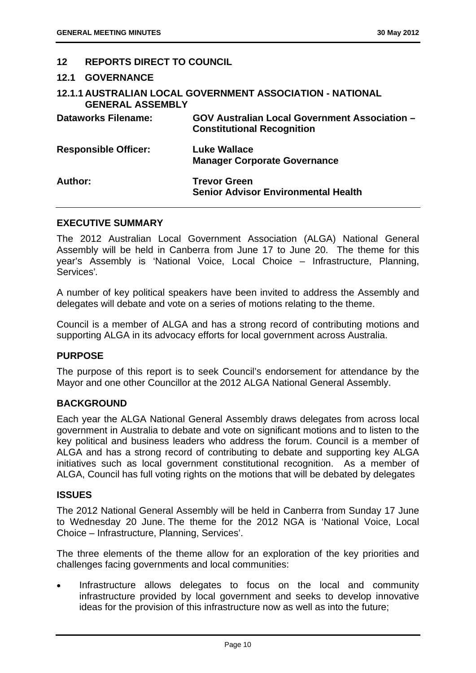#### **12 REPORTS DIRECT TO COUNCIL**

#### **12.1 GOVERNANCE**

| <b>GENERAL ASSEMBLY</b>     | 12.1.1 AUSTRALIAN LOCAL GOVERNMENT ASSOCIATION - NATIONAL                                 |
|-----------------------------|-------------------------------------------------------------------------------------------|
| <b>Dataworks Filename:</b>  | <b>GOV Australian Local Government Association -</b><br><b>Constitutional Recognition</b> |
| <b>Responsible Officer:</b> | Luke Wallace<br><b>Manager Corporate Governance</b>                                       |
| Author:                     | <b>Trevor Green</b><br><b>Senior Advisor Environmental Health</b>                         |

#### **EXECUTIVE SUMMARY**

The 2012 Australian Local Government Association (ALGA) National General Assembly will be held in Canberra from June 17 to June 20. The theme for this year's Assembly is 'National Voice, Local Choice – Infrastructure, Planning, Services'*.*

A number of key political speakers have been invited to address the Assembly and delegates will debate and vote on a series of motions relating to the theme.

Council is a member of ALGA and has a strong record of contributing motions and supporting ALGA in its advocacy efforts for local government across Australia.

#### **PURPOSE**

The purpose of this report is to seek Council's endorsement for attendance by the Mayor and one other Councillor at the 2012 ALGA National General Assembly.

#### **BACKGROUND**

Each year the ALGA National General Assembly draws delegates from across local government in Australia to debate and vote on significant motions and to listen to the key political and business leaders who address the forum. Council is a member of ALGA and has a strong record of contributing to debate and supporting key ALGA initiatives such as local government constitutional recognition. As a member of ALGA, Council has full voting rights on the motions that will be debated by delegates

#### **ISSUES**

The 2012 National General Assembly will be held in Canberra from Sunday 17 June to Wednesday 20 June. The theme for the 2012 NGA is 'National Voice, Local Choice – Infrastructure, Planning, Services'.

The three elements of the theme allow for an exploration of the key priorities and challenges facing governments and local communities:

 Infrastructure allows delegates to focus on the local and community infrastructure provided by local government and seeks to develop innovative ideas for the provision of this infrastructure now as well as into the future;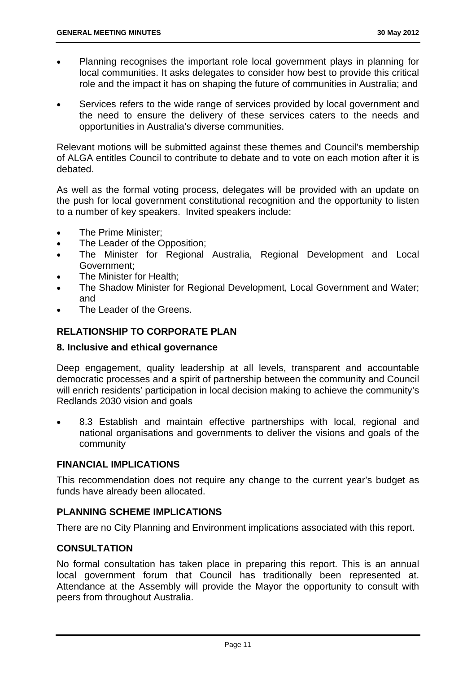- Planning recognises the important role local government plays in planning for local communities. It asks delegates to consider how best to provide this critical role and the impact it has on shaping the future of communities in Australia; and
- Services refers to the wide range of services provided by local government and the need to ensure the delivery of these services caters to the needs and opportunities in Australia's diverse communities.

Relevant motions will be submitted against these themes and Council's membership of ALGA entitles Council to contribute to debate and to vote on each motion after it is debated.

As well as the formal voting process, delegates will be provided with an update on the push for local government constitutional recognition and the opportunity to listen to a number of key speakers. Invited speakers include:

- The Prime Minister:
- The Leader of the Opposition;
- The Minister for Regional Australia, Regional Development and Local Government;
- The Minister for Health;
- The Shadow Minister for Regional Development, Local Government and Water; and
- The Leader of the Greens.

#### **RELATIONSHIP TO CORPORATE PLAN**

#### **8. Inclusive and ethical governance**

Deep engagement, quality leadership at all levels, transparent and accountable democratic processes and a spirit of partnership between the community and Council will enrich residents' participation in local decision making to achieve the community's Redlands 2030 vision and goals

 8.3 Establish and maintain effective partnerships with local, regional and national organisations and governments to deliver the visions and goals of the community

#### **FINANCIAL IMPLICATIONS**

This recommendation does not require any change to the current year's budget as funds have already been allocated.

#### **PLANNING SCHEME IMPLICATIONS**

There are no City Planning and Environment implications associated with this report.

#### **CONSULTATION**

No formal consultation has taken place in preparing this report. This is an annual local government forum that Council has traditionally been represented at. Attendance at the Assembly will provide the Mayor the opportunity to consult with peers from throughout Australia.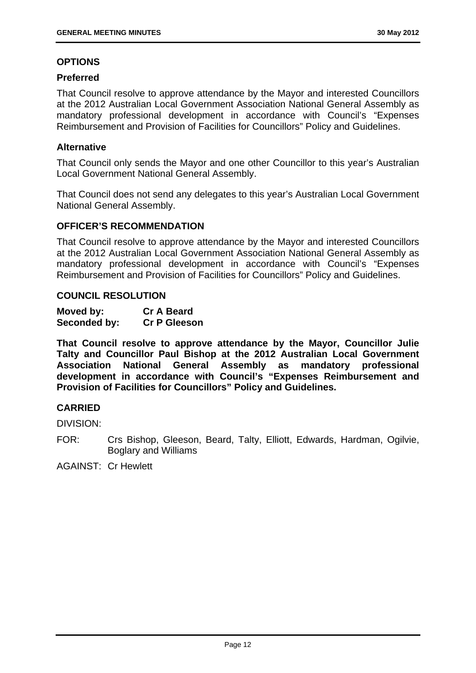#### **OPTIONS**

#### **Preferred**

That Council resolve to approve attendance by the Mayor and interested Councillors at the 2012 Australian Local Government Association National General Assembly as mandatory professional development in accordance with Council's "Expenses Reimbursement and Provision of Facilities for Councillors" Policy and Guidelines.

#### **Alternative**

That Council only sends the Mayor and one other Councillor to this year's Australian Local Government National General Assembly.

That Council does not send any delegates to this year's Australian Local Government National General Assembly.

#### **OFFICER'S RECOMMENDATION**

That Council resolve to approve attendance by the Mayor and interested Councillors at the 2012 Australian Local Government Association National General Assembly as mandatory professional development in accordance with Council's "Expenses Reimbursement and Provision of Facilities for Councillors" Policy and Guidelines.

#### **COUNCIL RESOLUTION**

| Moved by:    | <b>Cr A Beard</b>   |
|--------------|---------------------|
| Seconded by: | <b>Cr P Gleeson</b> |

**That Council resolve to approve attendance by the Mayor, Councillor Julie Talty and Councillor Paul Bishop at the 2012 Australian Local Government Association National General Assembly as mandatory professional development in accordance with Council's "Expenses Reimbursement and Provision of Facilities for Councillors" Policy and Guidelines.** 

#### **CARRIED**

DIVISION:

FOR: Crs Bishop, Gleeson, Beard, Talty, Elliott, Edwards, Hardman, Ogilvie, Boglary and Williams

AGAINST: Cr Hewlett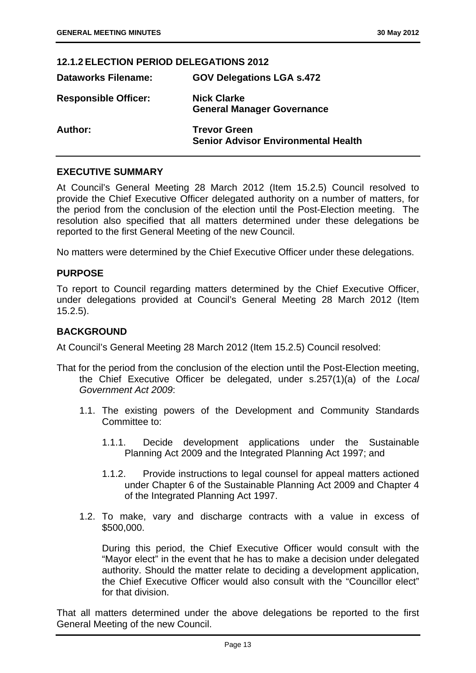#### **12.1.2 ELECTION PERIOD DELEGATIONS 2012**

| <b>Dataworks Filename:</b>  | <b>GOV Delegations LGA s.472</b>                                  |
|-----------------------------|-------------------------------------------------------------------|
| <b>Responsible Officer:</b> | <b>Nick Clarke</b><br><b>General Manager Governance</b>           |
| Author:                     | <b>Trevor Green</b><br><b>Senior Advisor Environmental Health</b> |

#### **EXECUTIVE SUMMARY**

At Council's General Meeting 28 March 2012 (Item 15.2.5) Council resolved to provide the Chief Executive Officer delegated authority on a number of matters, for the period from the conclusion of the election until the Post-Election meeting. The resolution also specified that all matters determined under these delegations be reported to the first General Meeting of the new Council.

No matters were determined by the Chief Executive Officer under these delegations.

#### **PURPOSE**

To report to Council regarding matters determined by the Chief Executive Officer, under delegations provided at Council's General Meeting 28 March 2012 (Item 15.2.5).

#### **BACKGROUND**

At Council's General Meeting 28 March 2012 (Item 15.2.5) Council resolved:

- That for the period from the conclusion of the election until the Post-Election meeting, the Chief Executive Officer be delegated, under s.257(1)(a) of the *Local Government Act 2009*:
	- 1.1. The existing powers of the Development and Community Standards Committee to:
		- 1.1.1. Decide development applications under the Sustainable Planning Act 2009 and the Integrated Planning Act 1997; and
		- 1.1.2. Provide instructions to legal counsel for appeal matters actioned under Chapter 6 of the Sustainable Planning Act 2009 and Chapter 4 of the Integrated Planning Act 1997.
	- 1.2. To make, vary and discharge contracts with a value in excess of \$500,000.

During this period, the Chief Executive Officer would consult with the "Mayor elect" in the event that he has to make a decision under delegated authority. Should the matter relate to deciding a development application, the Chief Executive Officer would also consult with the "Councillor elect" for that division.

That all matters determined under the above delegations be reported to the first General Meeting of the new Council.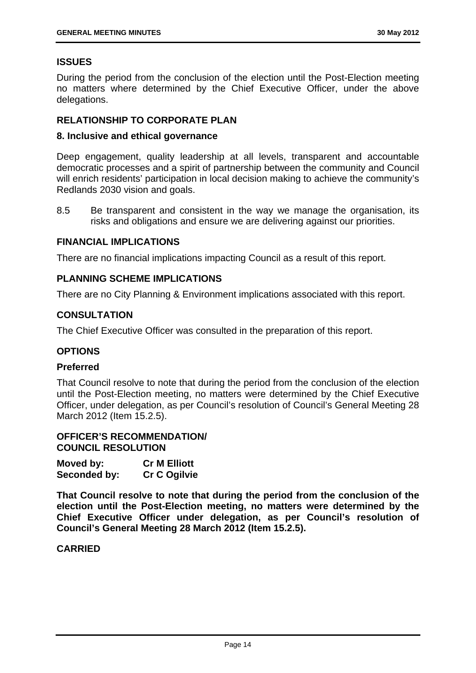#### **ISSUES**

During the period from the conclusion of the election until the Post-Election meeting no matters where determined by the Chief Executive Officer, under the above delegations.

#### **RELATIONSHIP TO CORPORATE PLAN**

#### **8. Inclusive and ethical governance**

Deep engagement, quality leadership at all levels, transparent and accountable democratic processes and a spirit of partnership between the community and Council will enrich residents' participation in local decision making to achieve the community's Redlands 2030 vision and goals.

8.5 Be transparent and consistent in the way we manage the organisation, its risks and obligations and ensure we are delivering against our priorities.

#### **FINANCIAL IMPLICATIONS**

There are no financial implications impacting Council as a result of this report.

#### **PLANNING SCHEME IMPLICATIONS**

There are no City Planning & Environment implications associated with this report.

#### **CONSULTATION**

The Chief Executive Officer was consulted in the preparation of this report.

#### **OPTIONS**

#### **Preferred**

That Council resolve to note that during the period from the conclusion of the election until the Post-Election meeting, no matters were determined by the Chief Executive Officer, under delegation, as per Council's resolution of Council's General Meeting 28 March 2012 (Item 15.2.5).

#### **OFFICER'S RECOMMENDATION/ COUNCIL RESOLUTION**

| Moved by:    | <b>Cr M Elliott</b> |
|--------------|---------------------|
| Seconded by: | <b>Cr C Ogilvie</b> |

**That Council resolve to note that during the period from the conclusion of the election until the Post-Election meeting, no matters were determined by the Chief Executive Officer under delegation, as per Council's resolution of Council's General Meeting 28 March 2012 (Item 15.2.5).**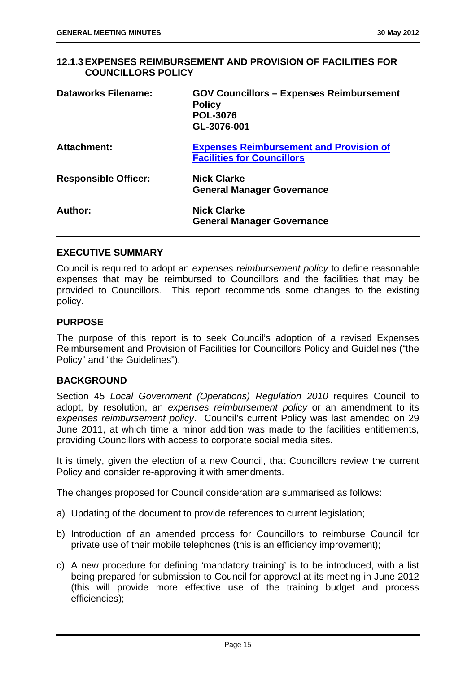#### **12.1.3 EXPENSES REIMBURSEMENT AND PROVISION OF FACILITIES FOR COUNCILLORS POLICY**

| Dataworks Filename:         | <b>GOV Councillors - Expenses Reimbursement</b><br><b>Policy</b><br><b>POL-3076</b><br>GL-3076-001 |
|-----------------------------|----------------------------------------------------------------------------------------------------|
| Attachment:                 | <b>Expenses Reimbursement and Provision of</b><br><b>Facilities for Councillors</b>                |
| <b>Responsible Officer:</b> | <b>Nick Clarke</b><br><b>General Manager Governance</b>                                            |
| Author:                     | <b>Nick Clarke</b><br><b>General Manager Governance</b>                                            |

#### **EXECUTIVE SUMMARY**

Council is required to adopt an *expenses reimbursement policy* to define reasonable expenses that may be reimbursed to Councillors and the facilities that may be provided to Councillors. This report recommends some changes to the existing policy.

#### **PURPOSE**

The purpose of this report is to seek Council's adoption of a revised Expenses Reimbursement and Provision of Facilities for Councillors Policy and Guidelines ("the Policy" and "the Guidelines").

#### **BACKGROUND**

Section 45 *Local Government (Operations) Regulation 2010* requires Council to adopt, by resolution, an *expenses reimbursement policy* or an amendment to its *expenses reimbursement policy*. Council's current Policy was last amended on 29 June 2011, at which time a minor addition was made to the facilities entitlements, providing Councillors with access to corporate social media sites.

It is timely, given the election of a new Council, that Councillors review the current Policy and consider re-approving it with amendments.

The changes proposed for Council consideration are summarised as follows:

- a) Updating of the document to provide references to current legislation;
- b) Introduction of an amended process for Councillors to reimburse Council for private use of their mobile telephones (this is an efficiency improvement);
- c) A new procedure for defining 'mandatory training' is to be introduced, with a list being prepared for submission to Council for approval at its meeting in June 2012 (this will provide more effective use of the training budget and process efficiencies);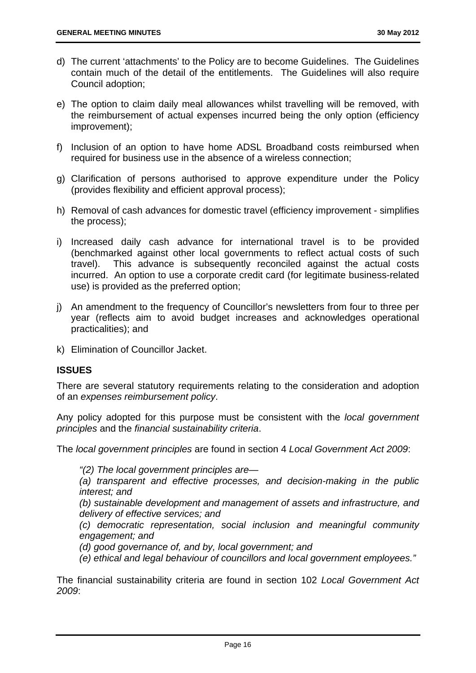- d) The current 'attachments' to the Policy are to become Guidelines. The Guidelines contain much of the detail of the entitlements. The Guidelines will also require Council adoption;
- e) The option to claim daily meal allowances whilst travelling will be removed, with the reimbursement of actual expenses incurred being the only option (efficiency improvement);
- f) Inclusion of an option to have home ADSL Broadband costs reimbursed when required for business use in the absence of a wireless connection;
- g) Clarification of persons authorised to approve expenditure under the Policy (provides flexibility and efficient approval process);
- h) Removal of cash advances for domestic travel (efficiency improvement simplifies the process);
- i) Increased daily cash advance for international travel is to be provided (benchmarked against other local governments to reflect actual costs of such travel). This advance is subsequently reconciled against the actual costs incurred. An option to use a corporate credit card (for legitimate business-related use) is provided as the preferred option;
- j) An amendment to the frequency of Councillor's newsletters from four to three per year (reflects aim to avoid budget increases and acknowledges operational practicalities); and
- k) Elimination of Councillor Jacket.

#### **ISSUES**

There are several statutory requirements relating to the consideration and adoption of an *expenses reimbursement policy*.

Any policy adopted for this purpose must be consistent with the *local government principles* and the *financial sustainability criteria*.

The *local government principles* are found in section 4 *Local Government Act 2009*:

*"(2) The local government principles are—* 

*(a) transparent and effective processes, and decision-making in the public interest; and* 

*(b) sustainable development and management of assets and infrastructure, and delivery of effective services; and* 

*(c) democratic representation, social inclusion and meaningful community engagement; and* 

*(d) good governance of, and by, local government; and* 

*(e) ethical and legal behaviour of councillors and local government employees."* 

The financial sustainability criteria are found in section 102 *Local Government Act 2009*: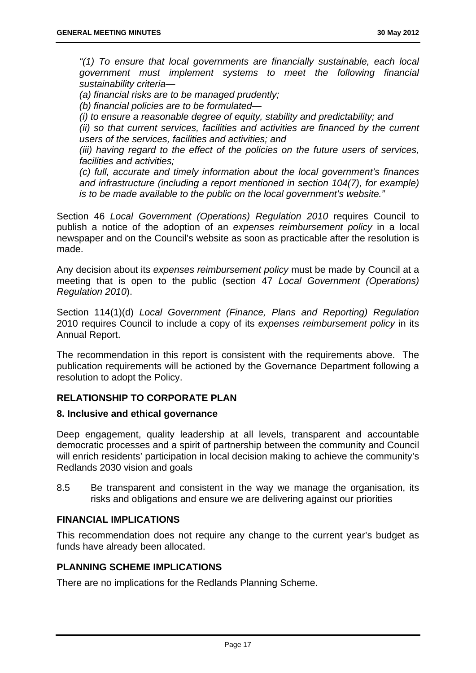*"(1) To ensure that local governments are financially sustainable, each local government must implement systems to meet the following financial sustainability criteria—* 

*(a) financial risks are to be managed prudently;* 

*(b) financial policies are to be formulated—* 

*(i) to ensure a reasonable degree of equity, stability and predictability; and* 

*(ii) so that current services, facilities and activities are financed by the current users of the services, facilities and activities; and* 

*(iii) having regard to the effect of the policies on the future users of services, facilities and activities;* 

*(c) full, accurate and timely information about the local government's finances and infrastructure (including a report mentioned in section 104(7), for example) is to be made available to the public on the local government's website."* 

Section 46 *Local Government (Operations) Regulation 2010* requires Council to publish a notice of the adoption of an *expenses reimbursement policy* in a local newspaper and on the Council's website as soon as practicable after the resolution is made.

Any decision about its *expenses reimbursement policy* must be made by Council at a meeting that is open to the public (section 47 *Local Government (Operations) Regulation 2010*).

Section 114(1)(d) *Local Government (Finance, Plans and Reporting) Regulation* 2010 requires Council to include a copy of its *expenses reimbursement policy* in its Annual Report.

The recommendation in this report is consistent with the requirements above. The publication requirements will be actioned by the Governance Department following a resolution to adopt the Policy.

#### **RELATIONSHIP TO CORPORATE PLAN**

#### **8. Inclusive and ethical governance**

Deep engagement, quality leadership at all levels, transparent and accountable democratic processes and a spirit of partnership between the community and Council will enrich residents' participation in local decision making to achieve the community's Redlands 2030 vision and goals

8.5 Be transparent and consistent in the way we manage the organisation, its risks and obligations and ensure we are delivering against our priorities

#### **FINANCIAL IMPLICATIONS**

This recommendation does not require any change to the current year's budget as funds have already been allocated.

#### **PLANNING SCHEME IMPLICATIONS**

There are no implications for the Redlands Planning Scheme.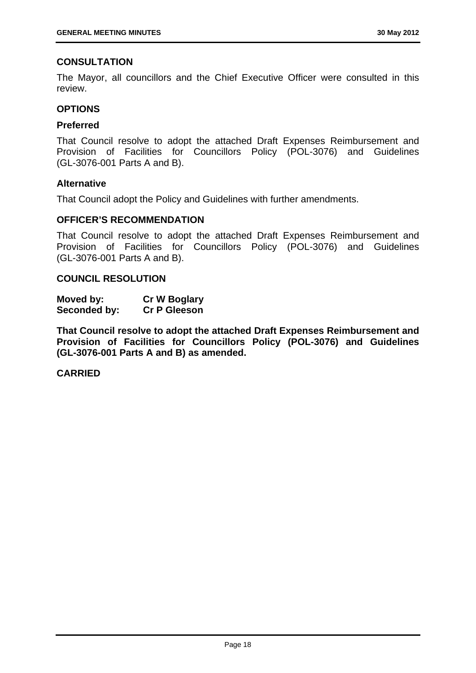#### **CONSULTATION**

The Mayor, all councillors and the Chief Executive Officer were consulted in this review.

#### **OPTIONS**

#### **Preferred**

That Council resolve to adopt the attached Draft Expenses Reimbursement and Provision of Facilities for Councillors Policy (POL-3076) and Guidelines (GL-3076-001 Parts A and B).

#### **Alternative**

That Council adopt the Policy and Guidelines with further amendments.

#### **OFFICER'S RECOMMENDATION**

That Council resolve to adopt the attached Draft Expenses Reimbursement and Provision of Facilities for Councillors Policy (POL-3076) and Guidelines (GL-3076-001 Parts A and B).

#### **COUNCIL RESOLUTION**

| Moved by:    | <b>Cr W Boglary</b> |
|--------------|---------------------|
| Seconded by: | <b>Cr P Gleeson</b> |

**That Council resolve to adopt the attached Draft Expenses Reimbursement and Provision of Facilities for Councillors Policy (POL-3076) and Guidelines (GL-3076-001 Parts A and B) as amended.**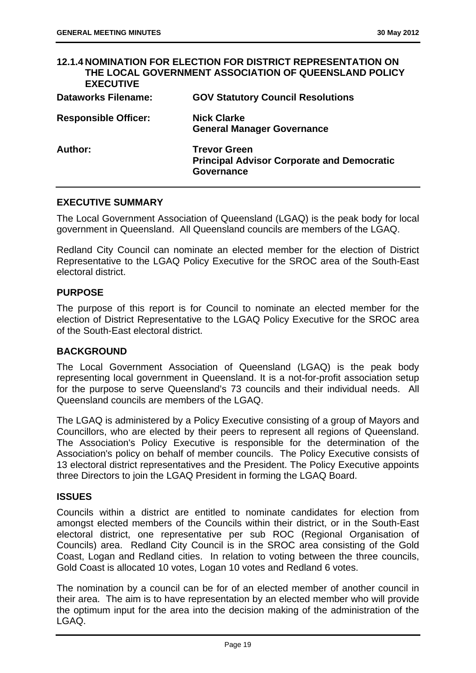|                             | <b>12.1.4 NOMINATION FOR ELECTION FOR DISTRICT REPRESENTATION ON</b><br>THE LOCAL GOVERNMENT ASSOCIATION OF QUEENSLAND POLICY |
|-----------------------------|-------------------------------------------------------------------------------------------------------------------------------|
| <b>EXECUTIVE</b>            |                                                                                                                               |
| <b>Dataworks Filename:</b>  | <b>GOV Statutory Council Resolutions</b>                                                                                      |
| <b>Responsible Officer:</b> | <b>Nick Clarke</b>                                                                                                            |
|                             | <b>General Manager Governance</b>                                                                                             |
| Author:                     | <b>Trevor Green</b>                                                                                                           |
|                             | <b>Principal Advisor Corporate and Democratic</b>                                                                             |
|                             | Governance                                                                                                                    |

#### **EXECUTIVE SUMMARY**

The Local Government Association of Queensland (LGAQ) is the peak body for local government in Queensland. All Queensland councils are members of the LGAQ.

Redland City Council can nominate an elected member for the election of District Representative to the LGAQ Policy Executive for the SROC area of the South-East electoral district.

#### **PURPOSE**

The purpose of this report is for Council to nominate an elected member for the election of District Representative to the LGAQ Policy Executive for the SROC area of the South-East electoral district.

#### **BACKGROUND**

The Local Government Association of Queensland (LGAQ) is the peak body representing local government in Queensland. It is a not-for-profit association setup for the purpose to serve Queensland's 73 councils and their individual needs. All Queensland councils are members of the LGAQ.

The LGAQ is administered by a Policy Executive consisting of a group of Mayors and Councillors, who are elected by their peers to represent all regions of Queensland. The Association's Policy Executive is responsible for the determination of the Association's policy on behalf of member councils. The Policy Executive consists of 13 electoral district representatives and the President. The Policy Executive appoints three Directors to join the LGAQ President in forming the LGAQ Board.

#### **ISSUES**

Councils within a district are entitled to nominate candidates for election from amongst elected members of the Councils within their district, or in the South-East electoral district, one representative per sub ROC (Regional Organisation of Councils) area. Redland City Council is in the SROC area consisting of the Gold Coast, Logan and Redland cities. In relation to voting between the three councils, Gold Coast is allocated 10 votes, Logan 10 votes and Redland 6 votes.

The nomination by a council can be for of an elected member of another council in their area. The aim is to have representation by an elected member who will provide the optimum input for the area into the decision making of the administration of the LGAQ.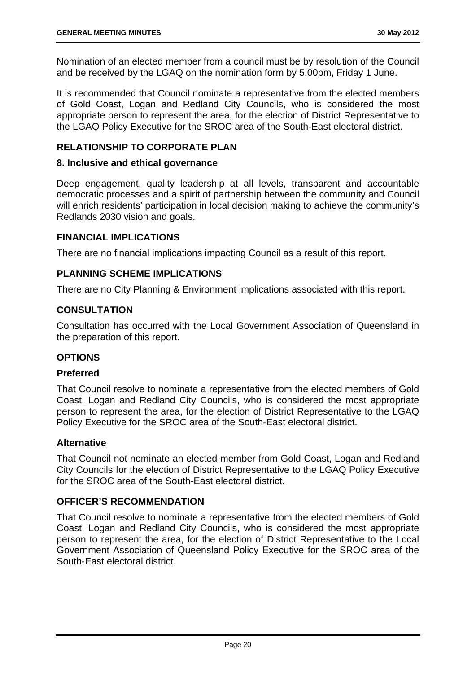Nomination of an elected member from a council must be by resolution of the Council and be received by the LGAQ on the nomination form by 5.00pm, Friday 1 June.

It is recommended that Council nominate a representative from the elected members of Gold Coast, Logan and Redland City Councils, who is considered the most appropriate person to represent the area, for the election of District Representative to the LGAQ Policy Executive for the SROC area of the South-East electoral district.

#### **RELATIONSHIP TO CORPORATE PLAN**

#### **8. Inclusive and ethical governance**

Deep engagement, quality leadership at all levels, transparent and accountable democratic processes and a spirit of partnership between the community and Council will enrich residents' participation in local decision making to achieve the community's Redlands 2030 vision and goals.

#### **FINANCIAL IMPLICATIONS**

There are no financial implications impacting Council as a result of this report.

#### **PLANNING SCHEME IMPLICATIONS**

There are no City Planning & Environment implications associated with this report.

#### **CONSULTATION**

Consultation has occurred with the Local Government Association of Queensland in the preparation of this report.

#### **OPTIONS**

#### **Preferred**

That Council resolve to nominate a representative from the elected members of Gold Coast, Logan and Redland City Councils, who is considered the most appropriate person to represent the area, for the election of District Representative to the LGAQ Policy Executive for the SROC area of the South-East electoral district.

#### **Alternative**

That Council not nominate an elected member from Gold Coast, Logan and Redland City Councils for the election of District Representative to the LGAQ Policy Executive for the SROC area of the South-East electoral district.

#### **OFFICER'S RECOMMENDATION**

That Council resolve to nominate a representative from the elected members of Gold Coast, Logan and Redland City Councils, who is considered the most appropriate person to represent the area, for the election of District Representative to the Local Government Association of Queensland Policy Executive for the SROC area of the South-East electoral district.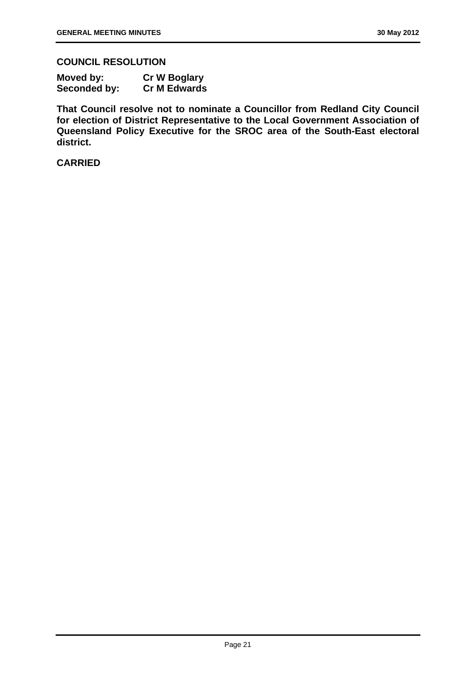#### **COUNCIL RESOLUTION**

| Moved by:    | <b>Cr W Boglary</b> |
|--------------|---------------------|
| Seconded by: | <b>Cr M Edwards</b> |

**That Council resolve not to nominate a Councillor from Redland City Council for election of District Representative to the Local Government Association of Queensland Policy Executive for the SROC area of the South-East electoral district.**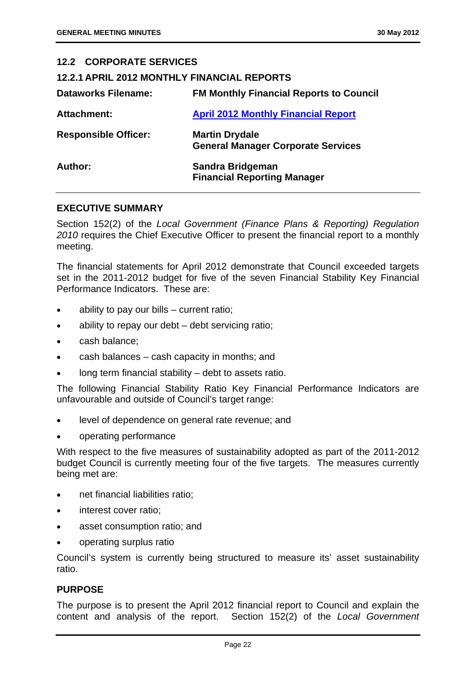| <b>12.2 CORPORATE SERVICES</b>                     |                                                                    |
|----------------------------------------------------|--------------------------------------------------------------------|
| <b>12.2.1 APRIL 2012 MONTHLY FINANCIAL REPORTS</b> |                                                                    |
| <b>Dataworks Filename:</b>                         | <b>FM Monthly Financial Reports to Council</b>                     |
| Attachment:                                        | <b>April 2012 Monthly Financial Report</b>                         |
| <b>Responsible Officer:</b>                        | <b>Martin Drydale</b><br><b>General Manager Corporate Services</b> |
| Author:                                            | Sandra Bridgeman<br><b>Financial Reporting Manager</b>             |

#### **EXECUTIVE SUMMARY**

Section 152(2) of the *Local Government (Finance Plans & Reporting) Regulation 2010* requires the Chief Executive Officer to present the financial report to a monthly meeting.

The financial statements for April 2012 demonstrate that Council exceeded targets set in the 2011-2012 budget for five of the seven Financial Stability Key Financial Performance Indicators. These are:

- ability to pay our bills current ratio;
- ability to repay our debt debt servicing ratio;
- cash balance;
- cash balances cash capacity in months; and
- long term financial stability debt to assets ratio.

The following Financial Stability Ratio Key Financial Performance Indicators are unfavourable and outside of Council's target range:

- level of dependence on general rate revenue; and
- operating performance

With respect to the five measures of sustainability adopted as part of the 2011-2012 budget Council is currently meeting four of the five targets. The measures currently being met are:

- net financial liabilities ratio;
- interest cover ratio;
- asset consumption ratio; and
- operating surplus ratio

Council's system is currently being structured to measure its' asset sustainability ratio.

#### **PURPOSE**

The purpose is to present the April 2012 financial report to Council and explain the content and analysis of the report. Section 152(2) of the *Local Government*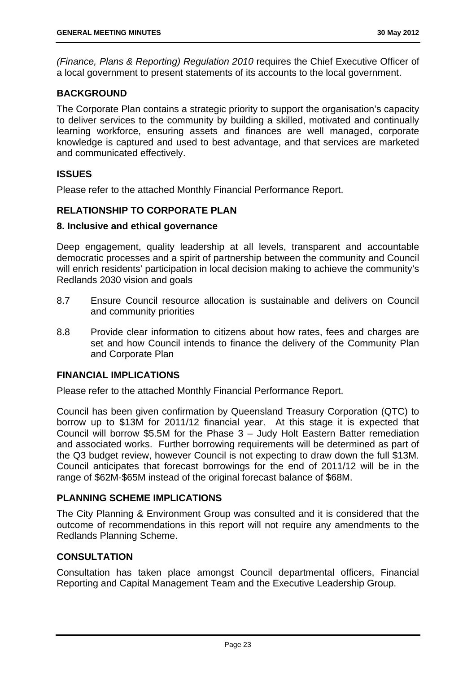*(Finance, Plans & Reporting) Regulation 2010* requires the Chief Executive Officer of a local government to present statements of its accounts to the local government.

#### **BACKGROUND**

The Corporate Plan contains a strategic priority to support the organisation's capacity to deliver services to the community by building a skilled, motivated and continually learning workforce, ensuring assets and finances are well managed, corporate knowledge is captured and used to best advantage, and that services are marketed and communicated effectively.

#### **ISSUES**

Please refer to the attached Monthly Financial Performance Report.

#### **RELATIONSHIP TO CORPORATE PLAN**

#### **8. Inclusive and ethical governance**

Deep engagement, quality leadership at all levels, transparent and accountable democratic processes and a spirit of partnership between the community and Council will enrich residents' participation in local decision making to achieve the community's Redlands 2030 vision and goals

- 8.7 Ensure Council resource allocation is sustainable and delivers on Council and community priorities
- 8.8 Provide clear information to citizens about how rates, fees and charges are set and how Council intends to finance the delivery of the Community Plan and Corporate Plan

#### **FINANCIAL IMPLICATIONS**

Please refer to the attached Monthly Financial Performance Report.

Council has been given confirmation by Queensland Treasury Corporation (QTC) to borrow up to \$13M for 2011/12 financial year. At this stage it is expected that Council will borrow \$5.5M for the Phase 3 – Judy Holt Eastern Batter remediation and associated works. Further borrowing requirements will be determined as part of the Q3 budget review, however Council is not expecting to draw down the full \$13M. Council anticipates that forecast borrowings for the end of 2011/12 will be in the range of \$62M-\$65M instead of the original forecast balance of \$68M.

#### **PLANNING SCHEME IMPLICATIONS**

The City Planning & Environment Group was consulted and it is considered that the outcome of recommendations in this report will not require any amendments to the Redlands Planning Scheme.

#### **CONSULTATION**

Consultation has taken place amongst Council departmental officers, Financial Reporting and Capital Management Team and the Executive Leadership Group.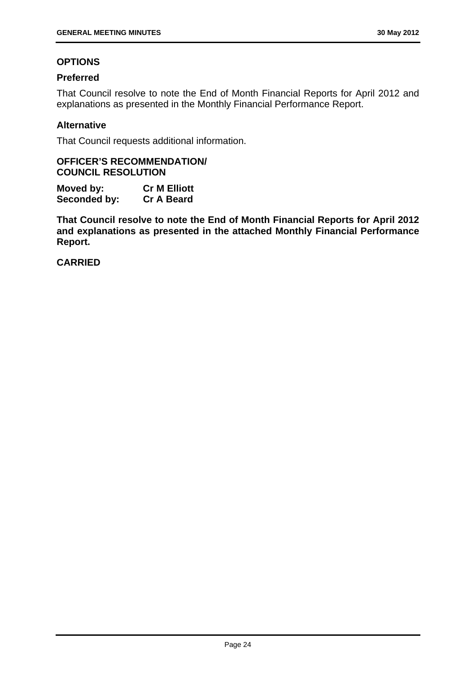#### **OPTIONS**

#### **Preferred**

That Council resolve to note the End of Month Financial Reports for April 2012 and explanations as presented in the Monthly Financial Performance Report.

#### **Alternative**

That Council requests additional information.

#### **OFFICER'S RECOMMENDATION/ COUNCIL RESOLUTION**

**Moved by: Cr M Elliott Seconded by: Cr A Beard** 

**That Council resolve to note the End of Month Financial Reports for April 2012 and explanations as presented in the attached Monthly Financial Performance Report.**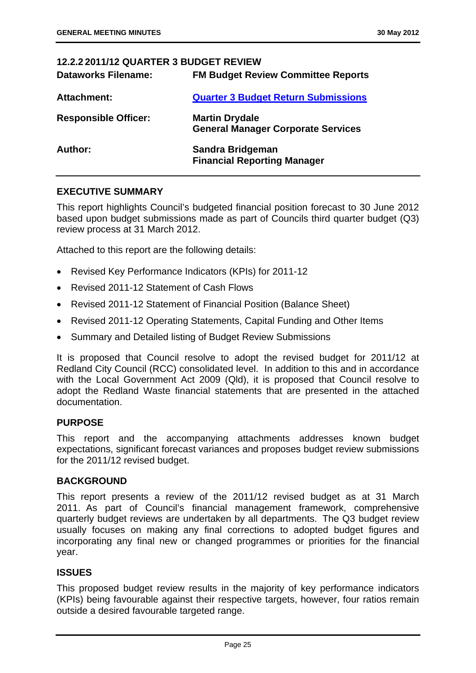| <b>12.2.2 2011/12 QUARTER 3 BUDGET REVIEW</b> |                                                                    |
|-----------------------------------------------|--------------------------------------------------------------------|
| <b>Dataworks Filename:</b>                    | <b>FM Budget Review Committee Reports</b>                          |
| Attachment:                                   | <b>Quarter 3 Budget Return Submissions</b>                         |
| <b>Responsible Officer:</b>                   | <b>Martin Drydale</b><br><b>General Manager Corporate Services</b> |
| <b>Author:</b>                                | Sandra Bridgeman<br><b>Financial Reporting Manager</b>             |

#### **EXECUTIVE SUMMARY**

This report highlights Council's budgeted financial position forecast to 30 June 2012 based upon budget submissions made as part of Councils third quarter budget (Q3) review process at 31 March 2012.

Attached to this report are the following details:

- Revised Key Performance Indicators (KPIs) for 2011-12
- Revised 2011-12 Statement of Cash Flows
- Revised 2011-12 Statement of Financial Position (Balance Sheet)
- Revised 2011-12 Operating Statements, Capital Funding and Other Items
- Summary and Detailed listing of Budget Review Submissions

It is proposed that Council resolve to adopt the revised budget for 2011/12 at Redland City Council (RCC) consolidated level. In addition to this and in accordance with the Local Government Act 2009 (Qld), it is proposed that Council resolve to adopt the Redland Waste financial statements that are presented in the attached documentation.

#### **PURPOSE**

This report and the accompanying attachments addresses known budget expectations, significant forecast variances and proposes budget review submissions for the 2011/12 revised budget.

#### **BACKGROUND**

This report presents a review of the 2011/12 revised budget as at 31 March 2011. As part of Council's financial management framework, comprehensive quarterly budget reviews are undertaken by all departments. The Q3 budget review usually focuses on making any final corrections to adopted budget figures and incorporating any final new or changed programmes or priorities for the financial year.

#### **ISSUES**

This proposed budget review results in the majority of key performance indicators (KPIs) being favourable against their respective targets, however, four ratios remain outside a desired favourable targeted range.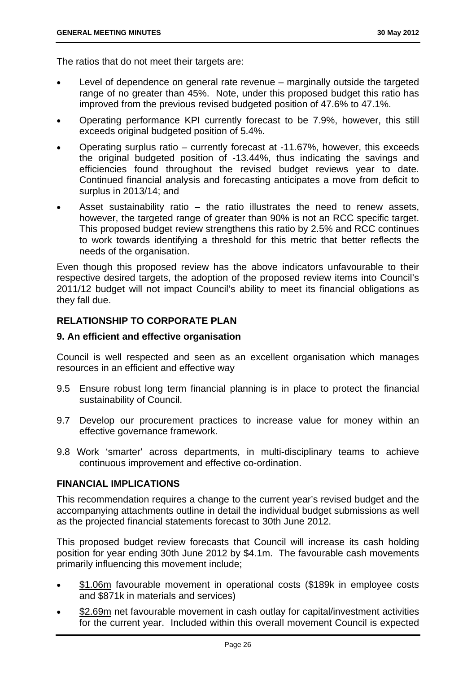The ratios that do not meet their targets are:

- Level of dependence on general rate revenue marginally outside the targeted range of no greater than 45%. Note, under this proposed budget this ratio has improved from the previous revised budgeted position of 47.6% to 47.1%.
- Operating performance KPI currently forecast to be 7.9%, however, this still exceeds original budgeted position of 5.4%.
- Operating surplus ratio currently forecast at -11.67%, however, this exceeds the original budgeted position of -13.44%, thus indicating the savings and efficiencies found throughout the revised budget reviews year to date. Continued financial analysis and forecasting anticipates a move from deficit to surplus in 2013/14; and
- Asset sustainability ratio the ratio illustrates the need to renew assets, however, the targeted range of greater than 90% is not an RCC specific target. This proposed budget review strengthens this ratio by 2.5% and RCC continues to work towards identifying a threshold for this metric that better reflects the needs of the organisation.

Even though this proposed review has the above indicators unfavourable to their respective desired targets, the adoption of the proposed review items into Council's 2011/12 budget will not impact Council's ability to meet its financial obligations as they fall due.

#### **RELATIONSHIP TO CORPORATE PLAN**

#### **9. An efficient and effective organisation**

Council is well respected and seen as an excellent organisation which manages resources in an efficient and effective way

- 9.5 Ensure robust long term financial planning is in place to protect the financial sustainability of Council.
- 9.7 Develop our procurement practices to increase value for money within an effective governance framework.
- 9.8 Work 'smarter' across departments, in multi-disciplinary teams to achieve continuous improvement and effective co-ordination.

#### **FINANCIAL IMPLICATIONS**

This recommendation requires a change to the current year's revised budget and the accompanying attachments outline in detail the individual budget submissions as well as the projected financial statements forecast to 30th June 2012.

This proposed budget review forecasts that Council will increase its cash holding position for year ending 30th June 2012 by \$4.1m. The favourable cash movements primarily influencing this movement include;

- \$1.06m favourable movement in operational costs (\$189k in employee costs and \$871k in materials and services)
- \$2.69m net favourable movement in cash outlay for capital/investment activities for the current year. Included within this overall movement Council is expected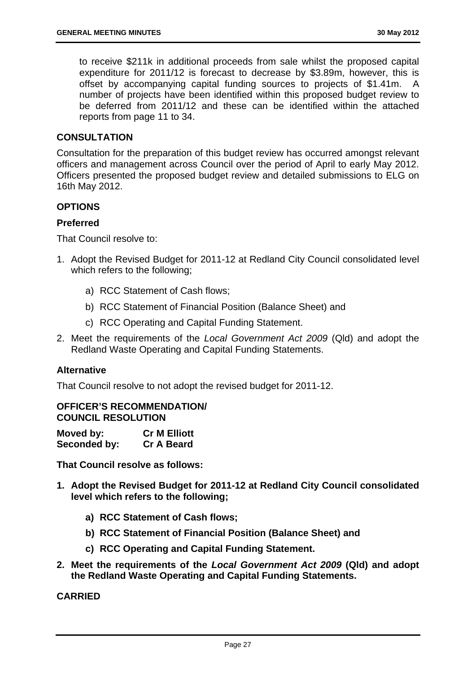to receive \$211k in additional proceeds from sale whilst the proposed capital expenditure for 2011/12 is forecast to decrease by \$3.89m, however, this is offset by accompanying capital funding sources to projects of \$1.41m. A number of projects have been identified within this proposed budget review to be deferred from 2011/12 and these can be identified within the attached reports from page 11 to 34.

#### **CONSULTATION**

Consultation for the preparation of this budget review has occurred amongst relevant officers and management across Council over the period of April to early May 2012. Officers presented the proposed budget review and detailed submissions to ELG on 16th May 2012.

#### **OPTIONS**

#### **Preferred**

That Council resolve to:

- 1. Adopt the Revised Budget for 2011-12 at Redland City Council consolidated level which refers to the following;
	- a) RCC Statement of Cash flows;
	- b) RCC Statement of Financial Position (Balance Sheet) and
	- c) RCC Operating and Capital Funding Statement.
- 2. Meet the requirements of the *Local Government Act 2009* (Qld) and adopt the Redland Waste Operating and Capital Funding Statements.

#### **Alternative**

That Council resolve to not adopt the revised budget for 2011-12.

#### **OFFICER'S RECOMMENDATION/ COUNCIL RESOLUTION**

| Moved by:    | <b>Cr M Elliott</b> |
|--------------|---------------------|
| Seconded by: | <b>Cr A Beard</b>   |

**That Council resolve as follows:** 

- **1. Adopt the Revised Budget for 2011-12 at Redland City Council consolidated level which refers to the following;** 
	- **a) RCC Statement of Cash flows;**
	- **b) RCC Statement of Financial Position (Balance Sheet) and**
	- **c) RCC Operating and Capital Funding Statement.**
- **2. Meet the requirements of the** *Local Government Act 2009* **(Qld) and adopt the Redland Waste Operating and Capital Funding Statements.**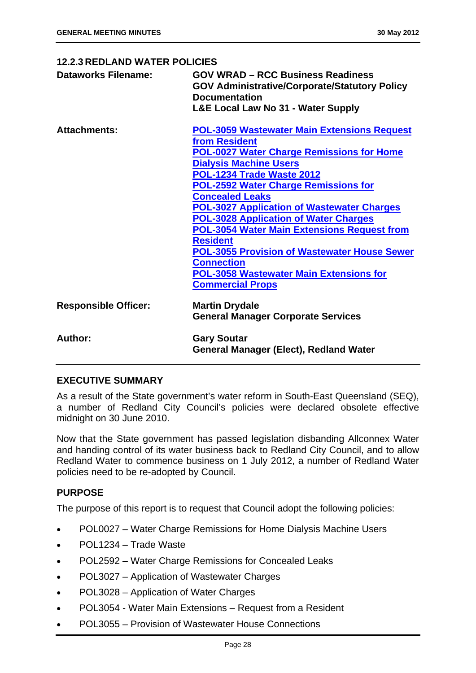| <b>12.2.3 REDLAND WATER POLICIES</b> |                                                                                                                                                                                                                                                                                                                                                                                                                                                                                                                                                                                                       |  |
|--------------------------------------|-------------------------------------------------------------------------------------------------------------------------------------------------------------------------------------------------------------------------------------------------------------------------------------------------------------------------------------------------------------------------------------------------------------------------------------------------------------------------------------------------------------------------------------------------------------------------------------------------------|--|
| <b>Dataworks Filename:</b>           | <b>GOV WRAD - RCC Business Readiness</b><br><b>GOV Administrative/Corporate/Statutory Policy</b><br><b>Documentation</b><br><b>L&amp;E Local Law No 31 - Water Supply</b>                                                                                                                                                                                                                                                                                                                                                                                                                             |  |
| <b>Attachments:</b>                  | <b>POL-3059 Wastewater Main Extensions Request</b><br>from Resident<br><b>POL-0027 Water Charge Remissions for Home</b><br><b>Dialysis Machine Users</b><br>POL-1234 Trade Waste 2012<br><b>POL-2592 Water Charge Remissions for</b><br><b>Concealed Leaks</b><br><b>POL-3027 Application of Wastewater Charges</b><br><b>POL-3028 Application of Water Charges</b><br><b>POL-3054 Water Main Extensions Request from</b><br><b>Resident</b><br><b>POL-3055 Provision of Wastewater House Sewer</b><br><b>Connection</b><br><b>POL-3058 Wastewater Main Extensions for</b><br><b>Commercial Props</b> |  |
| <b>Responsible Officer:</b>          | <b>Martin Drydale</b><br><b>General Manager Corporate Services</b>                                                                                                                                                                                                                                                                                                                                                                                                                                                                                                                                    |  |
| Author:                              | <b>Gary Soutar</b><br>General Manager (Elect), Redland Water                                                                                                                                                                                                                                                                                                                                                                                                                                                                                                                                          |  |

#### **EXECUTIVE SUMMARY**

As a result of the State government's water reform in South-East Queensland (SEQ), a number of Redland City Council's policies were declared obsolete effective midnight on 30 June 2010.

Now that the State government has passed legislation disbanding Allconnex Water and handing control of its water business back to Redland City Council, and to allow Redland Water to commence business on 1 July 2012, a number of Redland Water policies need to be re-adopted by Council.

#### **PURPOSE**

The purpose of this report is to request that Council adopt the following policies:

- POL0027 Water Charge Remissions for Home Dialysis Machine Users
- POL1234 Trade Waste
- POL2592 Water Charge Remissions for Concealed Leaks
- POL3027 Application of Wastewater Charges
- POL3028 Application of Water Charges
- POL3054 Water Main Extensions Request from a Resident
- POL3055 Provision of Wastewater House Connections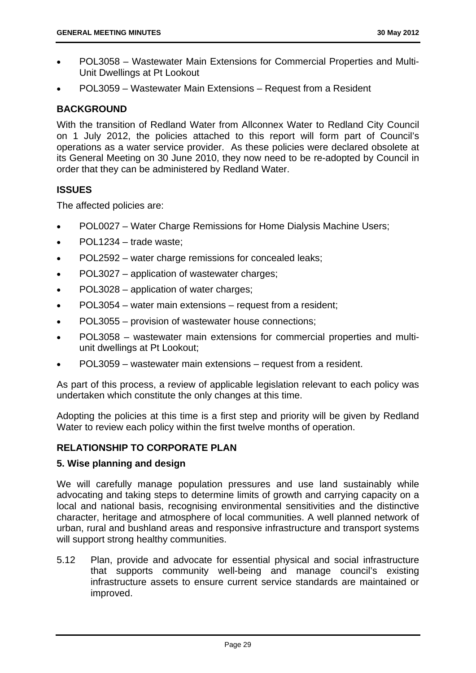- POL3058 Wastewater Main Extensions for Commercial Properties and Multi-Unit Dwellings at Pt Lookout
- POL3059 Wastewater Main Extensions Request from a Resident

#### **BACKGROUND**

With the transition of Redland Water from Allconnex Water to Redland City Council on 1 July 2012, the policies attached to this report will form part of Council's operations as a water service provider. As these policies were declared obsolete at its General Meeting on 30 June 2010, they now need to be re-adopted by Council in order that they can be administered by Redland Water.

#### **ISSUES**

The affected policies are:

- POL0027 Water Charge Remissions for Home Dialysis Machine Users;
- POL1234 trade waste;
- POL2592 water charge remissions for concealed leaks;
- POL3027 application of wastewater charges;
- POL3028 application of water charges;
- POL3054 water main extensions request from a resident;
- POL3055 provision of wastewater house connections:
- POL3058 wastewater main extensions for commercial properties and multiunit dwellings at Pt Lookout;
- POL3059 wastewater main extensions request from a resident.

As part of this process, a review of applicable legislation relevant to each policy was undertaken which constitute the only changes at this time.

Adopting the policies at this time is a first step and priority will be given by Redland Water to review each policy within the first twelve months of operation.

#### **RELATIONSHIP TO CORPORATE PLAN**

#### **5. Wise planning and design**

We will carefully manage population pressures and use land sustainably while advocating and taking steps to determine limits of growth and carrying capacity on a local and national basis, recognising environmental sensitivities and the distinctive character, heritage and atmosphere of local communities. A well planned network of urban, rural and bushland areas and responsive infrastructure and transport systems will support strong healthy communities.

5.12 Plan, provide and advocate for essential physical and social infrastructure that supports community well-being and manage council's existing infrastructure assets to ensure current service standards are maintained or improved.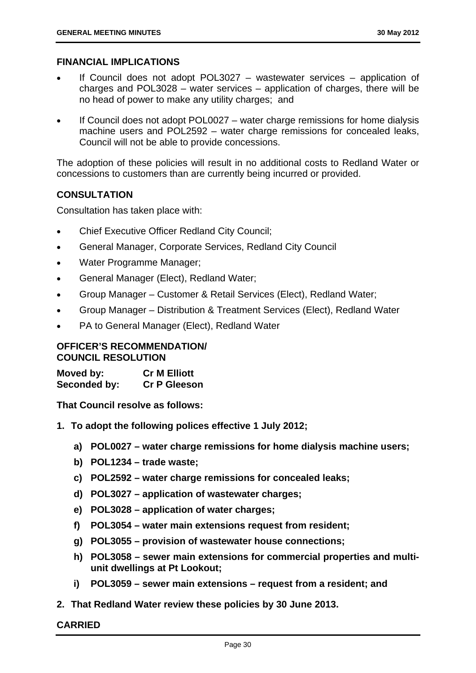#### **FINANCIAL IMPLICATIONS**

- If Council does not adopt POL3027 wastewater services application of charges and POL3028 – water services – application of charges, there will be no head of power to make any utility charges; and
- If Council does not adopt POL0027 water charge remissions for home dialysis machine users and POL2592 – water charge remissions for concealed leaks, Council will not be able to provide concessions.

The adoption of these policies will result in no additional costs to Redland Water or concessions to customers than are currently being incurred or provided.

#### **CONSULTATION**

Consultation has taken place with:

- Chief Executive Officer Redland City Council;
- General Manager, Corporate Services, Redland City Council
- Water Programme Manager;
- General Manager (Elect), Redland Water;
- Group Manager Customer & Retail Services (Elect), Redland Water;
- Group Manager Distribution & Treatment Services (Elect), Redland Water
- PA to General Manager (Elect), Redland Water

#### **OFFICER'S RECOMMENDATION/ COUNCIL RESOLUTION**

**Moved by: Cr M Elliott Seconded by: Cr P Gleeson** 

**That Council resolve as follows:** 

- **1. To adopt the following polices effective 1 July 2012;** 
	- **a) POL0027 water charge remissions for home dialysis machine users;**
	- **b) POL1234 trade waste;**
	- **c) POL2592 water charge remissions for concealed leaks;**
	- **d) POL3027 application of wastewater charges;**
	- **e) POL3028 application of water charges;**
	- **f) POL3054 water main extensions request from resident;**
	- **g) POL3055 provision of wastewater house connections;**
	- **h) POL3058 sewer main extensions for commercial properties and multiunit dwellings at Pt Lookout;**
	- **i) POL3059 sewer main extensions request from a resident; and**
- **2. That Redland Water review these policies by 30 June 2013.**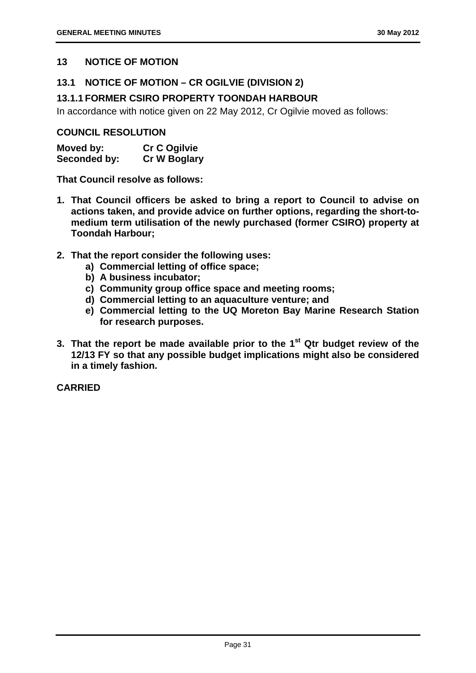#### **13 NOTICE OF MOTION**

#### **13.1 NOTICE OF MOTION – CR OGILVIE (DIVISION 2)**

#### **13.1.1 FORMER CSIRO PROPERTY TOONDAH HARBOUR**

In accordance with notice given on 22 May 2012, Cr Ogilvie moved as follows:

#### **COUNCIL RESOLUTION**

| Moved by:    | <b>Cr C Ogilvie</b> |
|--------------|---------------------|
| Seconded by: | <b>Cr W Boglary</b> |

**That Council resolve as follows:** 

- **1. That Council officers be asked to bring a report to Council to advise on actions taken, and provide advice on further options, regarding the short-tomedium term utilisation of the newly purchased (former CSIRO) property at Toondah Harbour;**
- **2. That the report consider the following uses:** 
	- **a) Commercial letting of office space;**
	- **b) A business incubator;**
	- **c) Community group office space and meeting rooms;**
	- **d) Commercial letting to an aquaculture venture; and**
	- **e) Commercial letting to the UQ Moreton Bay Marine Research Station for research purposes.**
- **3. That the report be made available prior to the 1st Qtr budget review of the 12/13 FY so that any possible budget implications might also be considered in a timely fashion.**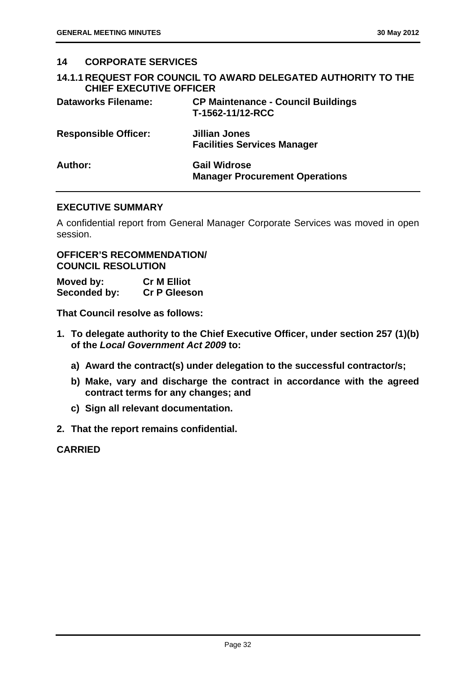| 14      | <b>CORPORATE SERVICES</b>      |                                                                       |
|---------|--------------------------------|-----------------------------------------------------------------------|
|         | <b>CHIEF EXECUTIVE OFFICER</b> | <b>14.1.1 REQUEST FOR COUNCIL TO AWARD DELEGATED AUTHORITY TO THE</b> |
|         | <b>Dataworks Filename:</b>     | <b>CP Maintenance - Council Buildings</b><br>T-1562-11/12-RCC         |
|         | <b>Responsible Officer:</b>    | <b>Jillian Jones</b><br><b>Facilities Services Manager</b>            |
| Author: |                                | <b>Gail Widrose</b><br><b>Manager Procurement Operations</b>          |

#### **EXECUTIVE SUMMARY**

A confidential report from General Manager Corporate Services was moved in open session.

#### **OFFICER'S RECOMMENDATION/ COUNCIL RESOLUTION**

| Moved by:    | <b>Cr M Elliot</b>  |
|--------------|---------------------|
| Seconded by: | <b>Cr P Gleeson</b> |

**That Council resolve as follows:** 

- **1. To delegate authority to the Chief Executive Officer, under section 257 (1)(b) of the** *Local Government Act 2009* **to:** 
	- **a) Award the contract(s) under delegation to the successful contractor/s;**
	- **b) Make, vary and discharge the contract in accordance with the agreed contract terms for any changes; and**
	- **c) Sign all relevant documentation.**
- **2. That the report remains confidential.**